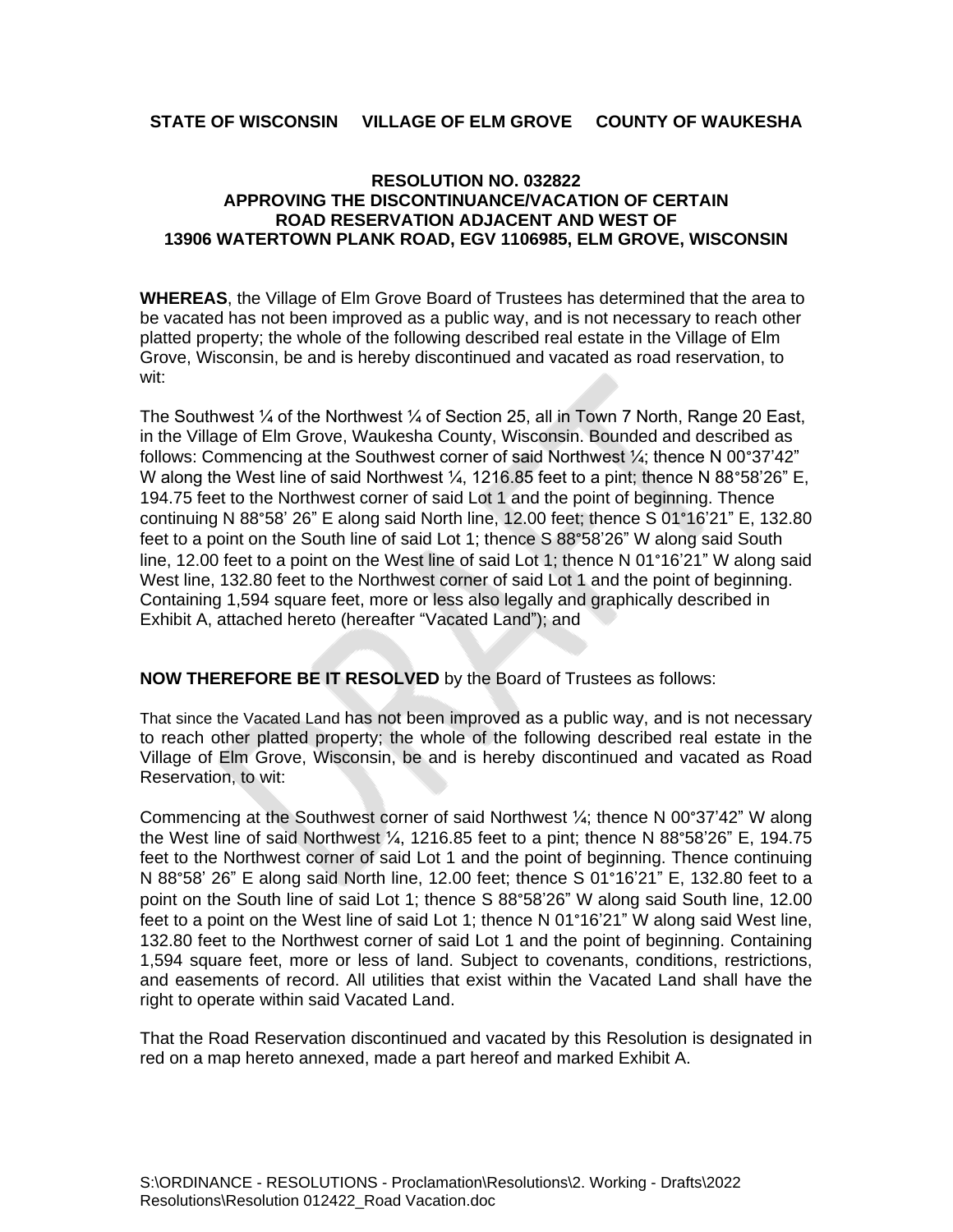## **STATE OF WISCONSIN VILLAGE OF ELM GROVE COUNTY OF WAUKESHA**

## **RESOLUTION NO. 032822 APPROVING THE DISCONTINUANCE/VACATION OF CERTAIN ROAD RESERVATION ADJACENT AND WEST OF 13906 WATERTOWN PLANK ROAD, EGV 1106985, ELM GROVE, WISCONSIN**

**WHEREAS**, the Village of Elm Grove Board of Trustees has determined that the area to be vacated has not been improved as a public way, and is not necessary to reach other platted property; the whole of the following described real estate in the Village of Elm Grove, Wisconsin, be and is hereby discontinued and vacated as road reservation, to wit:

The Southwest ¼ of the Northwest ¼ of Section 25, all in Town 7 North, Range 20 East, in the Village of Elm Grove, Waukesha County, Wisconsin. Bounded and described as follows: Commencing at the Southwest corner of said Northwest ¼; thence N 00°37'42" W along the West line of said Northwest  $\frac{1}{4}$ , 1216.85 feet to a pint; thence N 88°58'26" E, 194.75 feet to the Northwest corner of said Lot 1 and the point of beginning. Thence continuing N 88°58' 26" E along said North line, 12.00 feet; thence S 01°16'21" E, 132.80 feet to a point on the South line of said Lot 1; thence S 88°58'26" W along said South line, 12.00 feet to a point on the West line of said Lot 1; thence N 01°16'21" W along said West line, 132.80 feet to the Northwest corner of said Lot 1 and the point of beginning. Containing 1,594 square feet, more or less also legally and graphically described in Exhibit A, attached hereto (hereafter "Vacated Land"); and

## **NOW THEREFORE BE IT RESOLVED** by the Board of Trustees as follows:

That since the Vacated Land has not been improved as a public way, and is not necessary to reach other platted property; the whole of the following described real estate in the Village of Elm Grove, Wisconsin, be and is hereby discontinued and vacated as Road Reservation, to wit:

Commencing at the Southwest corner of said Northwest ¼; thence N 00°37'42" W along the West line of said Northwest  $\frac{1}{4}$ , 1216.85 feet to a pint; thence N 88°58'26" E, 194.75 feet to the Northwest corner of said Lot 1 and the point of beginning. Thence continuing N 88°58' 26" E along said North line, 12.00 feet; thence S 01°16'21" E, 132.80 feet to a point on the South line of said Lot 1; thence S 88°58'26" W along said South line, 12.00 feet to a point on the West line of said Lot 1; thence N 01°16'21" W along said West line, 132.80 feet to the Northwest corner of said Lot 1 and the point of beginning. Containing 1,594 square feet, more or less of land. Subject to covenants, conditions, restrictions, and easements of record. All utilities that exist within the Vacated Land shall have the right to operate within said Vacated Land.

That the Road Reservation discontinued and vacated by this Resolution is designated in red on a map hereto annexed, made a part hereof and marked Exhibit A.